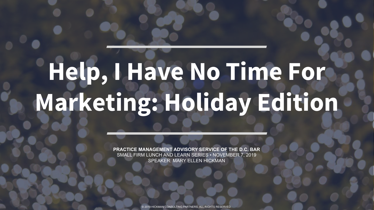# **Help, I Have No Time For Marketing: Holiday Edition**

**PRACTICE MANAGEMENT ADVISORY SERVICE OF THE D.C. BAR** SMALL FIRM LUNCH AND LEARN SERIES • NOVEMBER 7, 2019 SPEAKER: MARY ELLEN HICKMAN

© 2019 HICKMAN CONSULTING PARTNERS. ALL RIGHTS RESERVED.

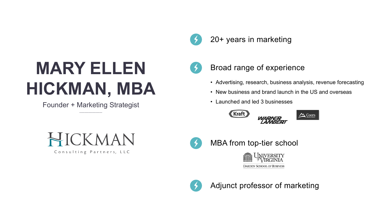# **MARY ELLEN HICKMAN, MBA**

#### 20+ years in marketing



- Advertising, research, business analysis, revenue forecasting
- New business and brand launch in the US and overseas
- Launched and led 3 businesses









#### Broad range of experience

Adjunct professor of marketing



#### MBA from top-tier school



**DARDEN SCHOOL OF BUSINESS** 



Founder + Marketing Strategist

HICKMAN

Consulting Partners, LLC

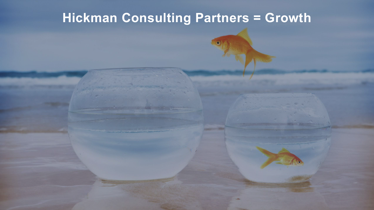## **[Hickman Consulting Partners = Growth](http://www.hickmanconsultingpartners.com/)**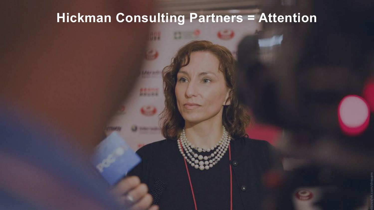



## **[Hickman Consulting Partners = Attention](http://www.hickmanconsultingpartners.com/)**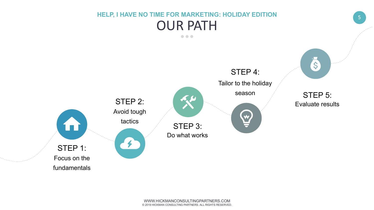

#### **HELP, I HAVE NO TIME FOR MARKETING: HOLIDAY EDITION**  OUR PATH  $\bullet\bullet\bullet$

#### STEP 1: Focus on the fundamentals

#### Do what works STEP 3:



#### Evaluate results STEP 5:

### STEP 2: Avoid tough tactics



Tailor to the holiday

season

#### STEP 4: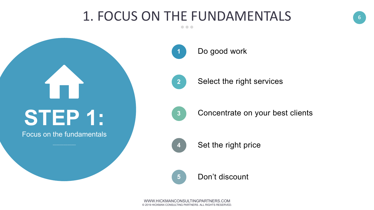

# **STEP 1:**

Focus on the fundamentals

#### 1. FOCUS ON THE FUNDAMENTALS $\bullet\bullet\bullet$

- **1** Do good work
- **2** Select the right services
- **3** Concentrate on your best clients
- **4** Set the right price

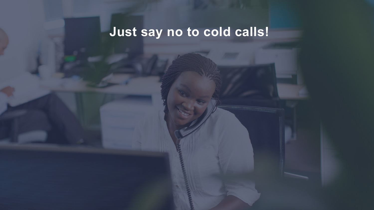# **Just say no to cold calls!**

.........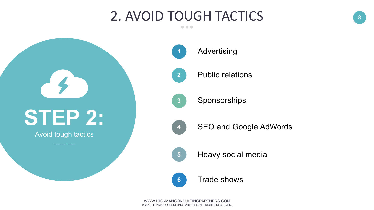

# **STEP 2:**

#### 2. AVOID TOUGH TACTICS  $\bullet\bullet\bullet$

Avoid tough tactics

- **1** Advertising
	- Public relations
- Sponsorships
- **4**

**2**

**3**

SEO and Google AdWords

- 
- **5** Heavy social media
- **6** Trade shows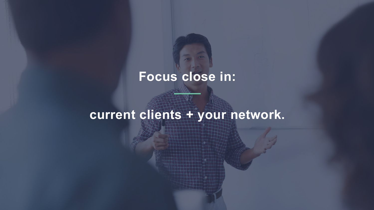## **Focus close in:**

# **current clients + your network.**

the manual collection and cold

<u>The Hall</u>

10

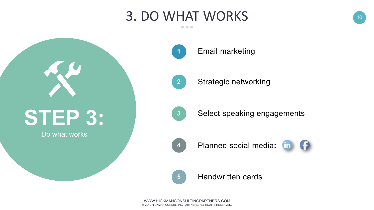

- **[1](https://www.campaignmonitor.com/resources/guides/email-marketing-new-rules/)** Email marketing
- **2** Strategic networking
- **3** Select speaking engagements
- **4**
- Planned social media: **End of**



# **STEP 3:**

#### Do what works

#### 3. DO WHAT WORKS $\bullet\bullet\bullet$

**5** Handwritten cards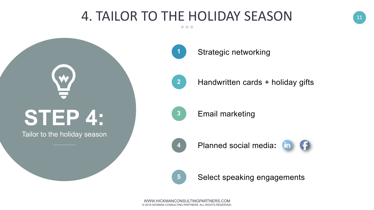

# **STEP 4:**

W.

Tailor to the holiday season

#### 4. TAILOR TO THE HOLIDAY SEASON $\bullet\bullet\bullet$

**[1](https://www.campaignmonitor.com/resources/guides/email-marketing-new-rules/)**

- Strategic networking
- **2** Handwritten cards + holiday gifts
- Email marketing **3**
- **4** Planned social media**:**



**5** Select speaking engagements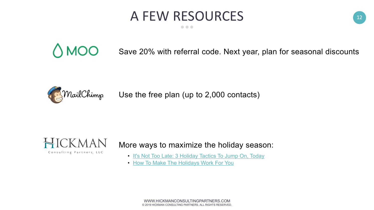

### A FEW RESOURCES  $\bullet\bullet\bullet$

# $\bigcirc$  MOO

[WWW.HICKMANCONSULTINGPARTNERS.COM](http://www.hickmanconsultingpartners.com/) © 2019 HICKMAN CONSULTING PARTNERS. ALL RIGHTS RESERVED.



Save 20% with referral code. Next year, plan for seasonal discounts

• [It's Not Too Late: 3 Holiday Tactics To Jump On, Today](http://www.hickmanconsultingpartners.com/its-not-too-late-3-holiday-tactics-to-jump-on-today) • [How To Make The Holidays Work For You](http://www.hickmanconsultingpartners.com/how-to-make-the-holidays-work-for-you)

Use the free plan (up to 2,000 contacts)



Consulting Partners, LLC

#### More ways to maximize the holiday season:

- 
-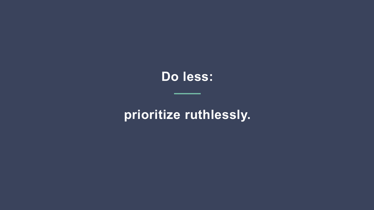### **Do less:**

### **prioritize ruthlessly.**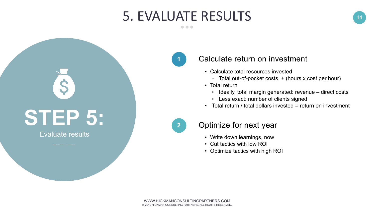

#### 5. EVALUATE RESULTS  $\bullet\bullet\bullet$

# **STEP 5:**

S

#### Evaluate results

#### Calculate return on investment

- Calculate total resources invested
	- Total out-of-pocket costs + (hours x cost per hour)
- Total return
	- Ideally, total margin generated: revenue direct costs
	- Less exact: number of clients signed
- Total return / total dollars invested = return on investment

#### Optimize for next year

#### **1**

- Write down learnings, now
- Cut tactics with low ROI
- Optimize tactics with high ROI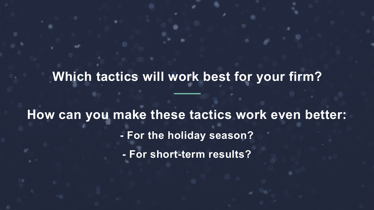### **Which tactics will work best for your firm?**

**How can you make these tactics work even better: - For the holiday season? - For short-term results?**

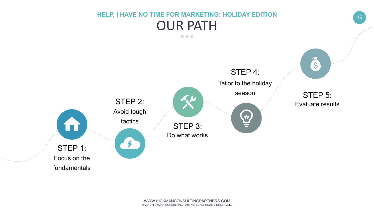

#### **HELP, I HAVE NO TIME FOR MARKETING: HOLIDAY EDITION**  OUR PATH  $\bullet\bullet\bullet$

#### STEP 1: Focus on the fundamentals

 $\bullet$ 

#### Do what works STEP 3:



#### Evaluate results STEP 5:

### STEP 2: Avoid tough tactics



Tailor to the holiday

season

#### STEP 4: